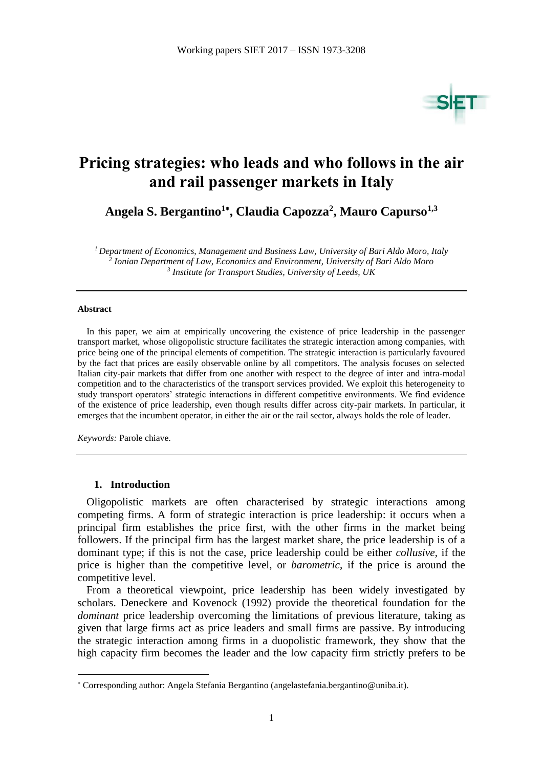

# **Pricing strategies: who leads and who follows in the air and rail passenger markets in Italy**

**Angela S. Bergantino<sup>1</sup> , Claudia Capozza<sup>2</sup> , Mauro Capurso1,3**

*<sup>1</sup> Department of Economics, Management and Business Law, University of Bari Aldo Moro, Italy 2 Ionian Department of Law, Economics and Environment, University of Bari Aldo Moro 3 Institute for Transport Studies, University of Leeds, UK*

#### **Abstract**

1

In this paper, we aim at empirically uncovering the existence of price leadership in the passenger transport market, whose oligopolistic structure facilitates the strategic interaction among companies, with price being one of the principal elements of competition. The strategic interaction is particularly favoured by the fact that prices are easily observable online by all competitors. The analysis focuses on selected Italian city-pair markets that differ from one another with respect to the degree of inter and intra-modal competition and to the characteristics of the transport services provided. We exploit this heterogeneity to study transport operators' strategic interactions in different competitive environments. We find evidence of the existence of price leadership, even though results differ across city-pair markets. In particular, it emerges that the incumbent operator, in either the air or the rail sector, always holds the role of leader.

*Keywords:* Parole chiave.

### **1. Introduction**

Oligopolistic markets are often characterised by strategic interactions among competing firms. A form of strategic interaction is price leadership: it occurs when a principal firm establishes the price first, with the other firms in the market being followers. If the principal firm has the largest market share, the price leadership is of a dominant type; if this is not the case, price leadership could be either *collusive*, if the price is higher than the competitive level, or *barometric*, if the price is around the competitive level.

From a theoretical viewpoint, price leadership has been widely investigated by scholars. Deneckere and Kovenock (1992) provide the theoretical foundation for the *dominant* price leadership overcoming the limitations of previous literature, taking as given that large firms act as price leaders and small firms are passive. By introducing the strategic interaction among firms in a duopolistic framework, they show that the high capacity firm becomes the leader and the low capacity firm strictly prefers to be

Corresponding author: Angela Stefania Bergantino (angelastefania.bergantino@uniba.it).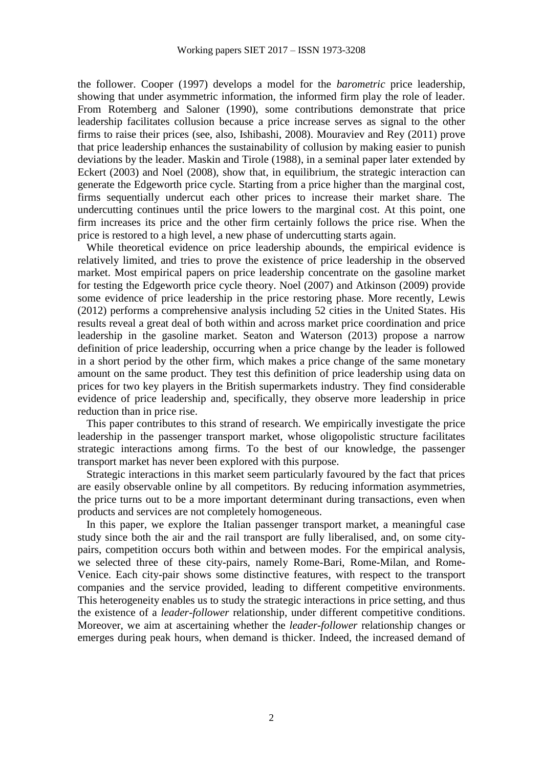the follower. Cooper (1997) develops a model for the *barometric* price leadership, showing that under asymmetric information, the informed firm play the role of leader. From Rotemberg and Saloner (1990), some contributions demonstrate that price leadership facilitates collusion because a price increase serves as signal to the other firms to raise their prices (see, also, Ishibashi, 2008). Mouraviev and Rey (2011) prove that price leadership enhances the sustainability of collusion by making easier to punish deviations by the leader. Maskin and Tirole (1988), in a seminal paper later extended by Eckert (2003) and Noel (2008), show that, in equilibrium, the strategic interaction can generate the Edgeworth price cycle. Starting from a price higher than the marginal cost, firms sequentially undercut each other prices to increase their market share. The undercutting continues until the price lowers to the marginal cost. At this point, one firm increases its price and the other firm certainly follows the price rise. When the price is restored to a high level, a new phase of undercutting starts again.

While theoretical evidence on price leadership abounds, the empirical evidence is relatively limited, and tries to prove the existence of price leadership in the observed market. Most empirical papers on price leadership concentrate on the gasoline market for testing the Edgeworth price cycle theory. Noel (2007) and Atkinson (2009) provide some evidence of price leadership in the price restoring phase. More recently, Lewis (2012) performs a comprehensive analysis including 52 cities in the United States. His results reveal a great deal of both within and across market price coordination and price leadership in the gasoline market. Seaton and Waterson (2013) propose a narrow definition of price leadership, occurring when a price change by the leader is followed in a short period by the other firm, which makes a price change of the same monetary amount on the same product. They test this definition of price leadership using data on prices for two key players in the British supermarkets industry. They find considerable evidence of price leadership and, specifically, they observe more leadership in price reduction than in price rise.

This paper contributes to this strand of research. We empirically investigate the price leadership in the passenger transport market, whose oligopolistic structure facilitates strategic interactions among firms. To the best of our knowledge, the passenger transport market has never been explored with this purpose.

Strategic interactions in this market seem particularly favoured by the fact that prices are easily observable online by all competitors. By reducing information asymmetries, the price turns out to be a more important determinant during transactions, even when products and services are not completely homogeneous.

In this paper, we explore the Italian passenger transport market, a meaningful case study since both the air and the rail transport are fully liberalised, and, on some citypairs, competition occurs both within and between modes. For the empirical analysis, we selected three of these city-pairs, namely Rome-Bari, Rome-Milan, and Rome-Venice. Each city-pair shows some distinctive features, with respect to the transport companies and the service provided, leading to different competitive environments. This heterogeneity enables us to study the strategic interactions in price setting, and thus the existence of a *leader-follower* relationship, under different competitive conditions. Moreover, we aim at ascertaining whether the *leader-follower* relationship changes or emerges during peak hours, when demand is thicker. Indeed, the increased demand of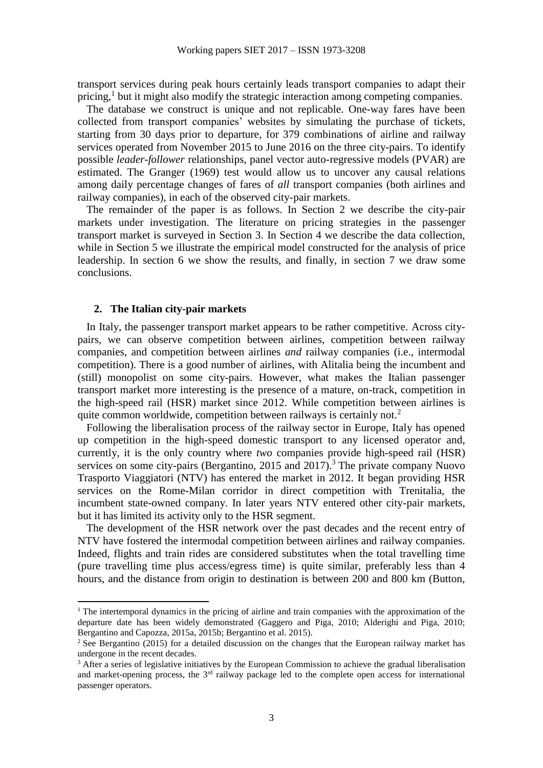transport services during peak hours certainly leads transport companies to adapt their pricing,<sup>1</sup> but it might also modify the strategic interaction among competing companies.

The database we construct is unique and not replicable. One-way fares have been collected from transport companies' websites by simulating the purchase of tickets, starting from 30 days prior to departure, for 379 combinations of airline and railway services operated from November 2015 to June 2016 on the three city-pairs. To identify possible *leader-follower* relationships, panel vector auto-regressive models (PVAR) are estimated. The Granger (1969) test would allow us to uncover any causal relations among daily percentage changes of fares of *all* transport companies (both airlines and railway companies), in each of the observed city-pair markets.

The remainder of the paper is as follows. In Section 2 we describe the city-pair markets under investigation. The literature on pricing strategies in the passenger transport market is surveyed in Section 3. In Section 4 we describe the data collection, while in Section 5 we illustrate the empirical model constructed for the analysis of price leadership. In section 6 we show the results, and finally, in section 7 we draw some conclusions.

### **2. The Italian city-pair markets**

1

In Italy, the passenger transport market appears to be rather competitive. Across citypairs, we can observe competition between airlines, competition between railway companies, and competition between airlines *and* railway companies (i.e., intermodal competition). There is a good number of airlines, with Alitalia being the incumbent and (still) monopolist on some city-pairs. However, what makes the Italian passenger transport market more interesting is the presence of a mature, on-track, competition in the high-speed rail (HSR) market since 2012. While competition between airlines is quite common worldwide, competition between railways is certainly not.<sup>2</sup>

Following the liberalisation process of the railway sector in Europe, Italy has opened up competition in the high-speed domestic transport to any licensed operator and, currently, it is the only country where *two* companies provide high-speed rail (HSR) services on some city-pairs (Bergantino, 2015 and 2017).<sup>3</sup> The private company Nuovo Trasporto Viaggiatori (NTV) has entered the market in 2012. It began providing HSR services on the Rome-Milan corridor in direct competition with Trenitalia, the incumbent state-owned company. In later years NTV entered other city-pair markets, but it has limited its activity only to the HSR segment.

The development of the HSR network over the past decades and the recent entry of NTV have fostered the intermodal competition between airlines and railway companies. Indeed, flights and train rides are considered substitutes when the total travelling time (pure travelling time plus access/egress time) is quite similar, preferably less than 4 hours, and the distance from origin to destination is between 200 and 800 km (Button,

<sup>&</sup>lt;sup>1</sup> The intertemporal dynamics in the pricing of airline and train companies with the approximation of the departure date has been widely demonstrated (Gaggero and Piga, 2010; Alderighi and Piga, 2010; Bergantino and Capozza, 2015a, 2015b; Bergantino et al. 2015).

<sup>&</sup>lt;sup>2</sup> See Bergantino (2015) for a detailed discussion on the changes that the European railway market has undergone in the recent decades.

<sup>&</sup>lt;sup>3</sup> After a series of legislative initiatives by the European Commission to achieve the gradual liberalisation and market-opening process, the  $3<sup>rd</sup>$  railway package led to the complete open access for international passenger operators.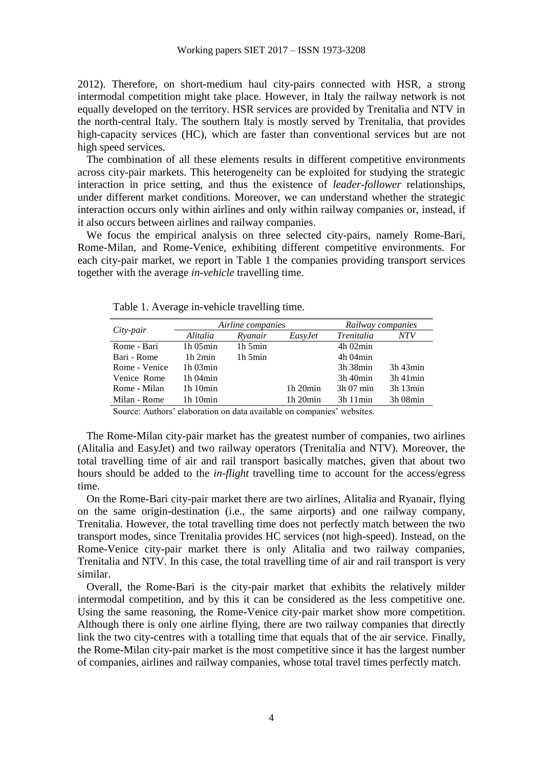2012). Therefore, on short-medium haul city-pairs connected with HSR, a strong intermodal competition might take place. However, in Italy the railway network is not equally developed on the territory. HSR services are provided by Trenitalia and NTV in the north-central Italy. The southern Italy is mostly served by Trenitalia, that provides high-capacity services (HC), which are faster than conventional services but are not high speed services.

The combination of all these elements results in different competitive environments across city-pair markets. This heterogeneity can be exploited for studying the strategic interaction in price setting, and thus the existence of *leader-follower* relationships, under different market conditions. Moreover, we can understand whether the strategic interaction occurs only within airlines and only within railway companies or, instead, if it also occurs between airlines and railway companies.

We focus the empirical analysis on three selected city-pairs, namely Rome-Bari, Rome-Milan, and Rome-Venice, exhibiting different competitive environments. For each city-pair market, we report in Table 1 the companies providing transport services together with the average *in-vehicle* travelling time.

|               |               | Airline companies | Railway companies |                   |               |
|---------------|---------------|-------------------|-------------------|-------------------|---------------|
| City-pair     | Alitalia      | Ryanair           | EasyJet           | <i>Trenitalia</i> | NTV           |
| Rome - Bari   | $1h$ 05 $min$ | $1h_5$ min        |                   | $4h$ 02 $min$     |               |
| Bari - Rome   | 1h2min        | $1h_5$ min        |                   | $4h$ 04 $min$     |               |
| Rome - Venice | $1h$ 03 $min$ |                   |                   | 3h 38min          | $3h$ 43 $min$ |
| Venice Rome   | $1h$ 04 $min$ |                   |                   | $3h$ 40 $min$     | $3h$ 41 $min$ |
| Rome - Milan  | 1h10min       |                   | $1h$ 20 $min$     | $3h$ 07 min       | $3h$ 13 $min$ |
| Milan - Rome  | 1h10min       |                   | $1h$ $20min$      | 3h11min           | 3h 08min      |

Table 1. Average in-vehicle travelling time.

Source: Authors' elaboration on data available on companies' websites.

The Rome-Milan city-pair market has the greatest number of companies, two airlines (Alitalia and EasyJet) and two railway operators (Trenitalia and NTV). Moreover, the total travelling time of air and rail transport basically matches, given that about two hours should be added to the *in-flight* travelling time to account for the access/egress time.

On the Rome-Bari city-pair market there are two airlines, Alitalia and Ryanair, flying on the same origin-destination (i.e., the same airports) and one railway company, Trenitalia. However, the total travelling time does not perfectly match between the two transport modes, since Trenitalia provides HC services (not high-speed). Instead, on the Rome-Venice city-pair market there is only Alitalia and two railway companies, Trenitalia and NTV. In this case, the total travelling time of air and rail transport is very similar.

Overall, the Rome-Bari is the city-pair market that exhibits the relatively milder intermodal competition, and by this it can be considered as the less competitive one. Using the same reasoning, the Rome-Venice city-pair market show more competition. Although there is only one airline flying, there are two railway companies that directly link the two city-centres with a totalling time that equals that of the air service. Finally, the Rome-Milan city-pair market is the most competitive since it has the largest number of companies, airlines and railway companies, whose total travel times perfectly match.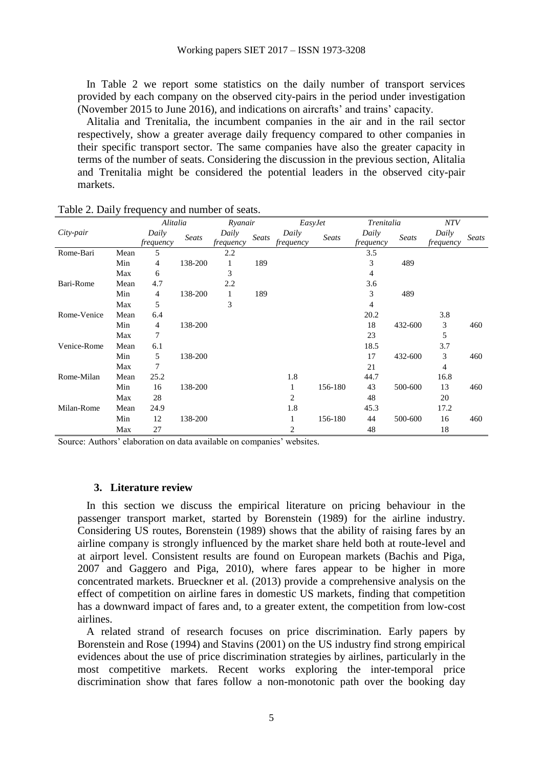In Table 2 we report some statistics on the daily number of transport services provided by each company on the observed city-pairs in the period under investigation (November 2015 to June 2016), and indications on aircrafts' and trains' capacity.

Alitalia and Trenitalia, the incumbent companies in the air and in the rail sector respectively, show a greater average daily frequency compared to other companies in their specific transport sector. The same companies have also the greater capacity in terms of the number of seats. Considering the discussion in the previous section, Alitalia and Trenitalia might be considered the potential leaders in the observed city-pair markets.

|             |      | Alitalia              |         | Ryanair          |       | EasyJet   |         | Trenitalia              |         | <b>NTV</b> |       |
|-------------|------|-----------------------|---------|------------------|-------|-----------|---------|-------------------------|---------|------------|-------|
| City-pair   |      | Daily                 | Seats   | Daily            | Seats | Daily     | Seats   | Daily                   | Seats   | Daily      | Seats |
| Rome-Bari   | Mean | <i>frequency</i><br>5 |         | frequency<br>2.2 |       | frequency |         | <i>frequency</i><br>3.5 |         | frequency  |       |
|             |      |                       |         |                  |       |           |         |                         |         |            |       |
|             | Min  | 4                     | 138-200 | 1                | 189   |           |         | 3                       | 489     |            |       |
|             | Max  | 6                     |         | 3                |       |           |         | 4                       |         |            |       |
| Bari-Rome   | Mean | 4.7                   |         | 2.2              |       |           |         | 3.6                     |         |            |       |
|             | Min  | 4                     | 138-200 | 1                | 189   |           |         | 3                       | 489     |            |       |
|             | Max  | 5                     |         | 3                |       |           |         | 4                       |         |            |       |
| Rome-Venice | Mean | 6.4                   |         |                  |       |           |         | 20.2                    |         | 3.8        |       |
|             | Min  | 4                     | 138-200 |                  |       |           |         | 18                      | 432-600 | 3          | 460   |
|             | Max  | 7                     |         |                  |       |           |         | 23                      |         | 5          |       |
| Venice-Rome | Mean | 6.1                   |         |                  |       |           |         | 18.5                    |         | 3.7        |       |
|             | Min  | 5                     | 138-200 |                  |       |           |         | 17                      | 432-600 | 3          | 460   |
|             | Max  | 7                     |         |                  |       |           |         | 21                      |         | 4          |       |
| Rome-Milan  | Mean | 25.2                  |         |                  |       | 1.8       |         | 44.7                    |         | 16.8       |       |
|             | Min  | 16                    | 138-200 |                  |       |           | 156-180 | 43                      | 500-600 | 13         | 460   |
|             | Max  | 28                    |         |                  |       | 2         |         | 48                      |         | 20         |       |
| Milan-Rome  | Mean | 24.9                  |         |                  |       | 1.8       |         | 45.3                    |         | 17.2       |       |
|             | Min  | 12                    | 138-200 |                  |       |           | 156-180 | 44                      | 500-600 | 16         | 460   |
|             | Max  | 27                    |         |                  |       | 2         |         | 48                      |         | 18         |       |

Table 2. Daily frequency and number of seats.

Source: Authors' elaboration on data available on companies' websites.

#### **3. Literature review**

In this section we discuss the empirical literature on pricing behaviour in the passenger transport market, started by Borenstein (1989) for the airline industry. Considering US routes, Borenstein (1989) shows that the ability of raising fares by an airline company is strongly influenced by the market share held both at route-level and at airport level. Consistent results are found on European markets (Bachis and Piga, 2007 and Gaggero and Piga, 2010), where fares appear to be higher in more concentrated markets. Brueckner et al. (2013) provide a comprehensive analysis on the effect of competition on airline fares in domestic US markets, finding that competition has a downward impact of fares and, to a greater extent, the competition from low-cost airlines.

A related strand of research focuses on price discrimination. Early papers by Borenstein and Rose (1994) and Stavins (2001) on the US industry find strong empirical evidences about the use of price discrimination strategies by airlines, particularly in the most competitive markets. Recent works exploring the inter-temporal price discrimination show that fares follow a non-monotonic path over the booking day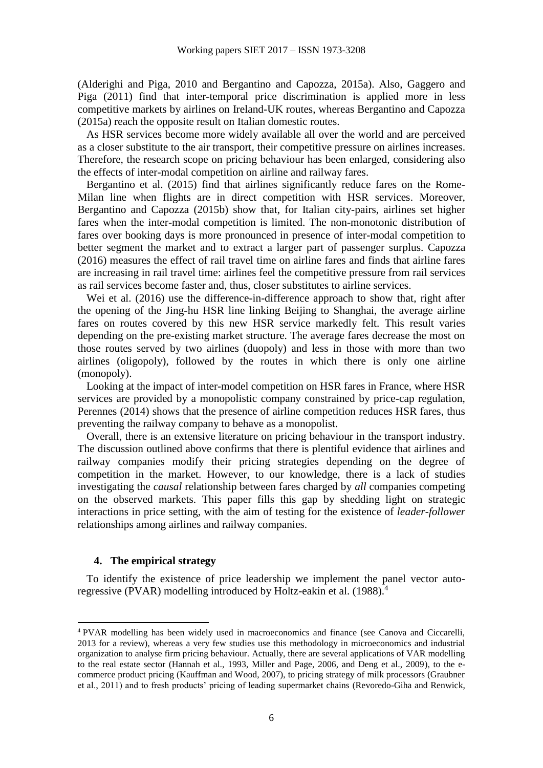(Alderighi and Piga, 2010 and Bergantino and Capozza, 2015a). Also, Gaggero and Piga (2011) find that inter-temporal price discrimination is applied more in less competitive markets by airlines on Ireland-UK routes, whereas Bergantino and Capozza (2015a) reach the opposite result on Italian domestic routes.

As HSR services become more widely available all over the world and are perceived as a closer substitute to the air transport, their competitive pressure on airlines increases. Therefore, the research scope on pricing behaviour has been enlarged, considering also the effects of inter-modal competition on airline and railway fares.

Bergantino et al. (2015) find that airlines significantly reduce fares on the Rome-Milan line when flights are in direct competition with HSR services. Moreover, Bergantino and Capozza (2015b) show that, for Italian city-pairs, airlines set higher fares when the inter-modal competition is limited. The non-monotonic distribution of fares over booking days is more pronounced in presence of inter-modal competition to better segment the market and to extract a larger part of passenger surplus. Capozza (2016) measures the effect of rail travel time on airline fares and finds that airline fares are increasing in rail travel time: airlines feel the competitive pressure from rail services as rail services become faster and, thus, closer substitutes to airline services.

Wei et al. (2016) use the difference-in-difference approach to show that, right after the opening of the Jing-hu HSR line linking Beijing to Shanghai, the average airline fares on routes covered by this new HSR service markedly felt. This result varies depending on the pre-existing market structure. The average fares decrease the most on those routes served by two airlines (duopoly) and less in those with more than two airlines (oligopoly), followed by the routes in which there is only one airline (monopoly).

Looking at the impact of inter-model competition on HSR fares in France, where HSR services are provided by a monopolistic company constrained by price-cap regulation, Perennes (2014) shows that the presence of airline competition reduces HSR fares, thus preventing the railway company to behave as a monopolist.

Overall, there is an extensive literature on pricing behaviour in the transport industry. The discussion outlined above confirms that there is plentiful evidence that airlines and railway companies modify their pricing strategies depending on the degree of competition in the market. However, to our knowledge, there is a lack of studies investigating the *causal* relationship between fares charged by *all* companies competing on the observed markets. This paper fills this gap by shedding light on strategic interactions in price setting, with the aim of testing for the existence of *leader-follower* relationships among airlines and railway companies.

#### **4. The empirical strategy**

**.** 

To identify the existence of price leadership we implement the panel vector autoregressive (PVAR) modelling introduced by Holtz-eakin et al. (1988). 4

<sup>4</sup> PVAR modelling has been widely used in macroeconomics and finance (see Canova and Ciccarelli, 2013 for a review), whereas a very few studies use this methodology in microeconomics and industrial organization to analyse firm pricing behaviour. Actually, there are several applications of VAR modelling to the real estate sector (Hannah et al., 1993, Miller and Page, 2006, and Deng et al., 2009), to the ecommerce product pricing (Kauffman and Wood, 2007), to pricing strategy of milk processors (Graubner et al., 2011) and to fresh products' pricing of leading supermarket chains (Revoredo-Giha and Renwick,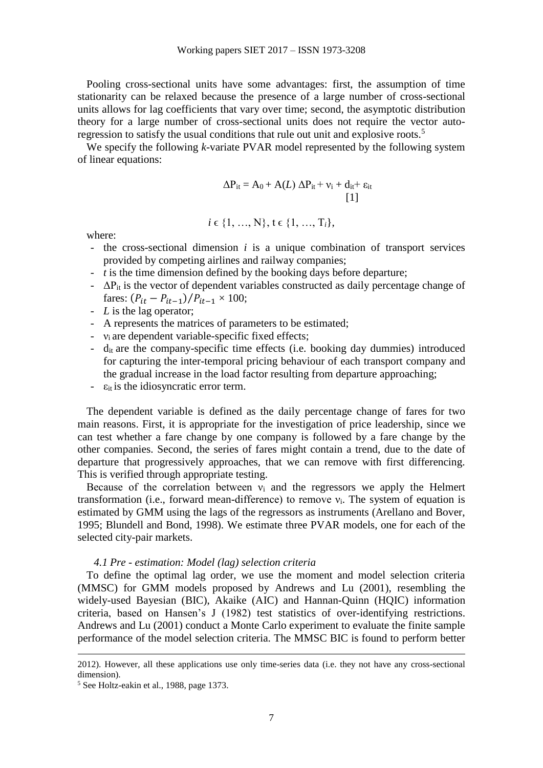Pooling cross-sectional units have some advantages: first, the assumption of time stationarity can be relaxed because the presence of a large number of cross-sectional units allows for lag coefficients that vary over time; second, the asymptotic distribution theory for a large number of cross-sectional units does not require the vector autoregression to satisfy the usual conditions that rule out unit and explosive roots.<sup>5</sup>

We specify the following *k*-variate PVAR model represented by the following system of linear equations:

 $i \in \{1, ..., N\}, t \in \{1, ..., T_i\},\$ 

$$
\Delta P_{it} = A_0 + A(L) \; \Delta P_{it} + \nu_i + d_{it} + \epsilon_{it}
$$
 [1]

where:

- the cross-sectional dimension *i* is a unique combination of transport services provided by competing airlines and railway companies;
- *t* is the time dimension defined by the booking days before departure;
- $-\Delta P_{it}$  is the vector of dependent variables constructed as daily percentage change of fares:  $(P_{it} - P_{it-1})/P_{it-1} \times 100;$
- *L* is the lag operator;
- A represents the matrices of parameters to be estimated;
- $v_i$  are dependent variable-specific fixed effects;
- $-d_{it}$  are the company-specific time effects (i.e. booking day dummies) introduced for capturing the inter-temporal pricing behaviour of each transport company and the gradual increase in the load factor resulting from departure approaching;
- $\varepsilon_{it}$  is the idiosyncratic error term.

The dependent variable is defined as the daily percentage change of fares for two main reasons. First, it is appropriate for the investigation of price leadership, since we can test whether a fare change by one company is followed by a fare change by the other companies. Second, the series of fares might contain a trend, due to the date of departure that progressively approaches, that we can remove with first differencing. This is verified through appropriate testing.

Because of the correlation between  $v_i$  and the regressors we apply the Helmert transformation (i.e., forward mean-difference) to remove  $v_i$ . The system of equation is estimated by GMM using the lags of the regressors as instruments (Arellano and Bover, 1995; Blundell and Bond, 1998). We estimate three PVAR models, one for each of the selected city-pair markets.

#### *4.1 Pre - estimation: Model (lag) selection criteria*

To define the optimal lag order, we use the moment and model selection criteria (MMSC) for GMM models proposed by Andrews and Lu (2001), resembling the widely-used Bayesian (BIC), Akaike (AIC) and Hannan-Quinn (HQIC) information criteria, based on Hansen's J (1982) test statistics of over-identifying restrictions. Andrews and Lu (2001) conduct a Monte Carlo experiment to evaluate the finite sample performance of the model selection criteria. The MMSC BIC is found to perform better

**.** 

<sup>2012).</sup> However, all these applications use only time-series data (i.e. they not have any cross-sectional dimension).

<sup>5</sup> See Holtz-eakin et al., 1988, page 1373.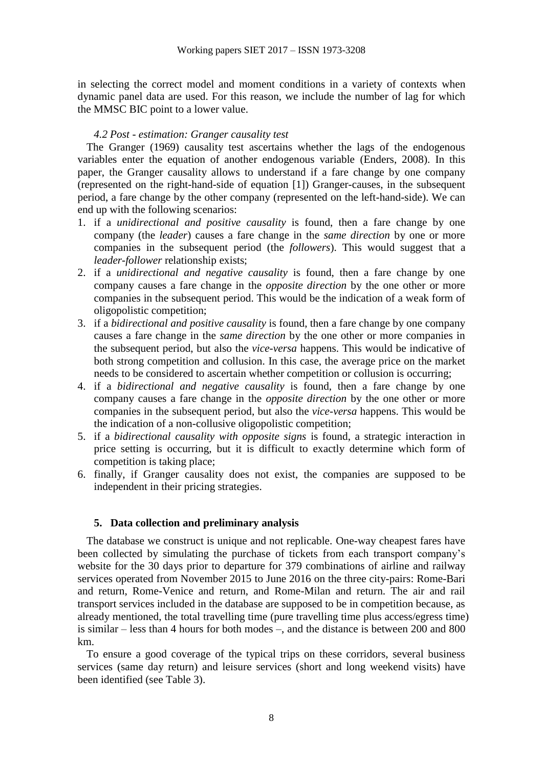in selecting the correct model and moment conditions in a variety of contexts when dynamic panel data are used. For this reason, we include the number of lag for which the MMSC BIC point to a lower value.

### *4.2 Post - estimation: Granger causality test*

The Granger (1969) causality test ascertains whether the lags of the endogenous variables enter the equation of another endogenous variable (Enders, 2008). In this paper, the Granger causality allows to understand if a fare change by one company (represented on the right-hand-side of equation [1]) Granger-causes, in the subsequent period, a fare change by the other company (represented on the left-hand-side). We can end up with the following scenarios:

- 1. if a *unidirectional and positive causality* is found, then a fare change by one company (the *leader*) causes a fare change in the *same direction* by one or more companies in the subsequent period (the *followers*). This would suggest that a *leader-follower* relationship exists;
- 2. if a *unidirectional and negative causality* is found, then a fare change by one company causes a fare change in the *opposite direction* by the one other or more companies in the subsequent period. This would be the indication of a weak form of oligopolistic competition;
- 3. if a *bidirectional and positive causality* is found, then a fare change by one company causes a fare change in the *same direction* by the one other or more companies in the subsequent period, but also the *vice-versa* happens. This would be indicative of both strong competition and collusion. In this case, the average price on the market needs to be considered to ascertain whether competition or collusion is occurring;
- 4. if a *bidirectional and negative causality* is found, then a fare change by one company causes a fare change in the *opposite direction* by the one other or more companies in the subsequent period, but also the *vice-versa* happens. This would be the indication of a non-collusive oligopolistic competition;
- 5. if a *bidirectional causality with opposite signs* is found, a strategic interaction in price setting is occurring, but it is difficult to exactly determine which form of competition is taking place;
- 6. finally, if Granger causality does not exist, the companies are supposed to be independent in their pricing strategies.

### **5. Data collection and preliminary analysis**

The database we construct is unique and not replicable. One-way cheapest fares have been collected by simulating the purchase of tickets from each transport company's website for the 30 days prior to departure for 379 combinations of airline and railway services operated from November 2015 to June 2016 on the three city-pairs: Rome-Bari and return, Rome-Venice and return, and Rome-Milan and return. The air and rail transport services included in the database are supposed to be in competition because, as already mentioned, the total travelling time (pure travelling time plus access/egress time) is similar – less than 4 hours for both modes –, and the distance is between 200 and 800 km.

To ensure a good coverage of the typical trips on these corridors, several business services (same day return) and leisure services (short and long weekend visits) have been identified (see Table 3).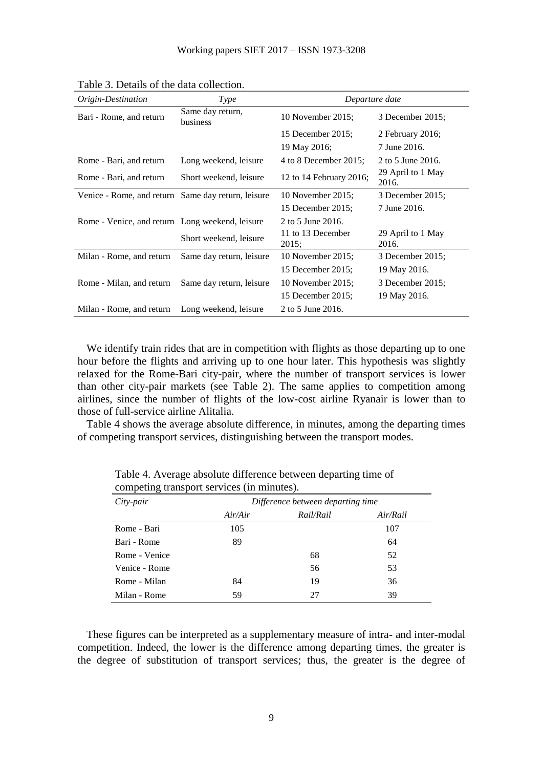| Origin-Destination                                 | <b>Type</b>                  | Departure date             |                            |  |
|----------------------------------------------------|------------------------------|----------------------------|----------------------------|--|
| Bari - Rome, and return                            | Same day return,<br>business | 10 November 2015;          | 3 December 2015;           |  |
|                                                    |                              | 15 December 2015;          | 2 February 2016;           |  |
|                                                    |                              | 19 May 2016;               | 7 June 2016.               |  |
| Rome - Bari, and return                            | Long weekend, leisure        | 4 to 8 December 2015;      | 2 to 5 June 2016.          |  |
| Rome - Bari, and return                            | Short weekend, leisure       | 12 to 14 February 2016;    | 29 April to 1 May<br>2016. |  |
| Venice - Rome, and return Same day return, leisure |                              | 10 November 2015;          | 3 December 2015;           |  |
|                                                    |                              | 15 December 2015;          | 7 June 2016.               |  |
| Rome - Venice, and return Long weekend, leisure    |                              | 2 to 5 June 2016.          |                            |  |
|                                                    | Short weekend, leisure       | 11 to 13 December<br>2015; | 29 April to 1 May<br>2016. |  |
| Milan - Rome, and return                           | Same day return, leisure     | 10 November 2015;          | 3 December 2015;           |  |
|                                                    |                              | 15 December 2015;          | 19 May 2016.               |  |
| Rome - Milan, and return                           | Same day return, leisure     | 10 November 2015;          | 3 December 2015;           |  |
|                                                    |                              | 15 December 2015;          | 19 May 2016.               |  |
| Milan - Rome, and return                           | Long weekend, leisure        | 2 to 5 June 2016.          |                            |  |

Table 3. Details of the data collection.

We identify train rides that are in competition with flights as those departing up to one hour before the flights and arriving up to one hour later. This hypothesis was slightly relaxed for the Rome-Bari city-pair, where the number of transport services is lower than other city-pair markets (see Table 2). The same applies to competition among airlines, since the number of flights of the low-cost airline Ryanair is lower than to those of full-service airline Alitalia.

Table 4 shows the average absolute difference, in minutes, among the departing times of competing transport services, distinguishing between the transport modes.

| City-pair     | Difference between departing time |           |          |  |  |  |  |
|---------------|-----------------------------------|-----------|----------|--|--|--|--|
|               | Air/Air                           | Rail/Rail | Air/Rail |  |  |  |  |
| Rome - Bari   | 105                               |           | 107      |  |  |  |  |
| Bari - Rome   | 89                                |           | 64       |  |  |  |  |
| Rome - Venice |                                   | 68        | 52       |  |  |  |  |
| Venice - Rome |                                   | 56        | 53       |  |  |  |  |
| Rome - Milan  | 84                                | 19        | 36       |  |  |  |  |
| Milan - Rome  | 59                                | 27        | 39       |  |  |  |  |

Table 4. Average absolute difference between departing time of competing transport services (in minutes).

These figures can be interpreted as a supplementary measure of intra- and inter-modal competition. Indeed, the lower is the difference among departing times, the greater is the degree of substitution of transport services; thus, the greater is the degree of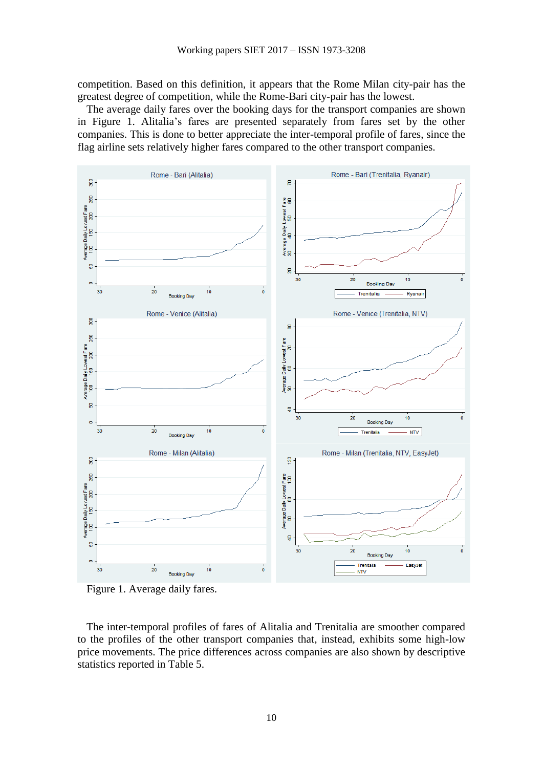competition. Based on this definition, it appears that the Rome Milan city-pair has the greatest degree of competition, while the Rome-Bari city-pair has the lowest.

The average daily fares over the booking days for the transport companies are shown in Figure 1. Alitalia's fares are presented separately from fares set by the other companies. This is done to better appreciate the inter-temporal profile of fares, since the flag airline sets relatively higher fares compared to the other transport companies.





The inter-temporal profiles of fares of Alitalia and Trenitalia are smoother compared to the profiles of the other transport companies that, instead, exhibits some high-low price movements. The price differences across companies are also shown by descriptive statistics reported in Table 5.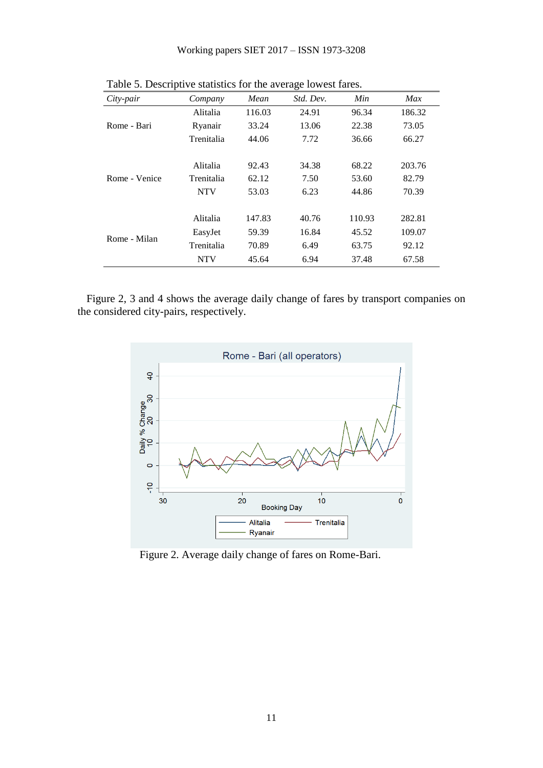| л.<br>City-pair | Company    | Mean   | Std. Dev. | Min    | Max    |
|-----------------|------------|--------|-----------|--------|--------|
|                 | Alitalia   | 116.03 | 24.91     | 96.34  | 186.32 |
| Rome - Bari     | Ryanair    | 33.24  | 13.06     | 22.38  | 73.05  |
|                 | Trenitalia | 44.06  | 7.72      | 36.66  | 66.27  |
|                 |            |        |           |        |        |
|                 | Alitalia   | 92.43  | 34.38     | 68.22  | 203.76 |
| Rome - Venice   | Trenitalia | 62.12  | 7.50      | 53.60  | 82.79  |
|                 | <b>NTV</b> | 53.03  | 6.23      | 44.86  | 70.39  |
|                 |            |        |           |        |        |
|                 | Alitalia   | 147.83 | 40.76     | 110.93 | 282.81 |
|                 | EasyJet    | 59.39  | 16.84     | 45.52  | 109.07 |
| Rome - Milan    | Trenitalia | 70.89  | 6.49      | 63.75  | 92.12  |
|                 | <b>NTV</b> | 45.64  | 6.94      | 37.48  | 67.58  |

Table 5. Descriptive statistics for the average lowest fares.

Figure 2, 3 and 4 shows the average daily change of fares by transport companies on the considered city-pairs, respectively.



Figure 2. Average daily change of fares on Rome-Bari.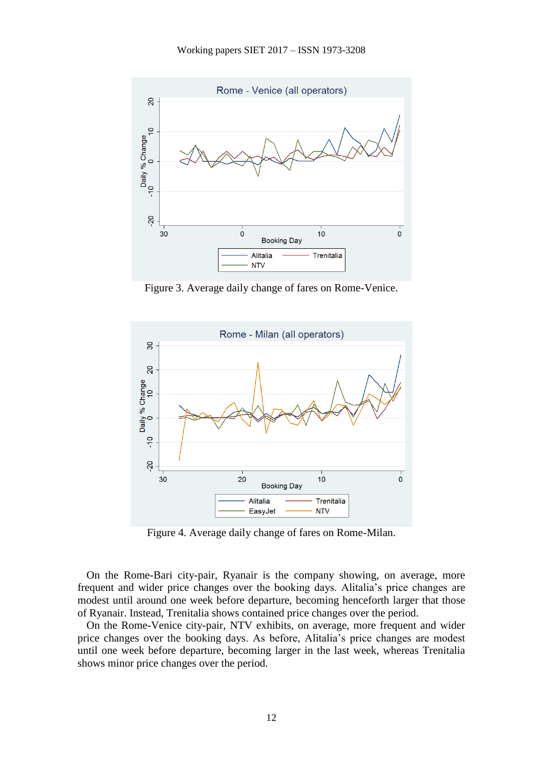

Figure 3. Average daily change of fares on Rome-Venice.



Figure 4. Average daily change of fares on Rome-Milan.

On the Rome-Bari city-pair, Ryanair is the company showing, on average, more frequent and wider price changes over the booking days. Alitalia's price changes are modest until around one week before departure, becoming henceforth larger that those of Ryanair. Instead, Trenitalia shows contained price changes over the period.

On the Rome-Venice city-pair, NTV exhibits, on average, more frequent and wider price changes over the booking days. As before, Alitalia's price changes are modest until one week before departure, becoming larger in the last week, whereas Trenitalia shows minor price changes over the period.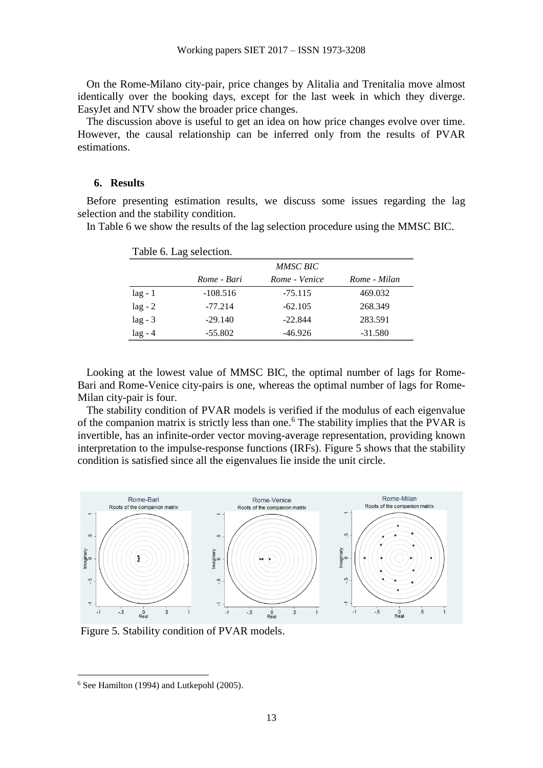On the Rome-Milano city-pair, price changes by Alitalia and Trenitalia move almost identically over the booking days, except for the last week in which they diverge. EasyJet and NTV show the broader price changes.

The discussion above is useful to get an idea on how price changes evolve over time. However, the causal relationship can be inferred only from the results of PVAR estimations.

#### **6. Results**

Before presenting estimation results, we discuss some issues regarding the lag selection and the stability condition.

In Table 6 we show the results of the lag selection procedure using the MMSC BIC.

|           |             | <i>MMSC BIC</i> |              |
|-----------|-------------|-----------------|--------------|
|           | Rome - Bari | Rome - Venice   | Rome - Milan |
| $lag - 1$ | $-108.516$  | $-75.115$       | 469.032      |
| $lag - 2$ | $-77.214$   | $-62.105$       | 268.349      |
| $lag - 3$ | $-29.140$   | $-22.844$       | 283.591      |
| $lag - 4$ | $-55.802$   | $-46.926$       | $-31.580$    |

Table 6. Lag selection

Looking at the lowest value of MMSC BIC, the optimal number of lags for Rome-Bari and Rome-Venice city-pairs is one, whereas the optimal number of lags for Rome-Milan city-pair is four.

The stability condition of PVAR models is verified if the modulus of each eigenvalue of the companion matrix is strictly less than one.<sup>6</sup> The stability implies that the PVAR is invertible, has an infinite-order vector moving-average representation, providing known interpretation to the impulse-response functions (IRFs). Figure 5 shows that the stability condition is satisfied since all the eigenvalues lie inside the unit circle.



Figure 5. Stability condition of PVAR models.

**.** 

<sup>6</sup> See Hamilton (1994) and Lutkepohl (2005).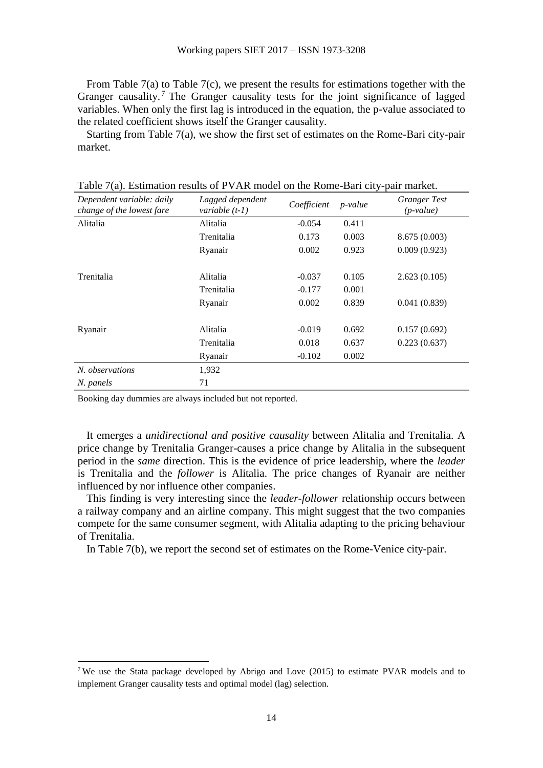From Table 7(a) to Table 7(c), we present the results for estimations together with the Granger causality.<sup>7</sup> The Granger causality tests for the joint significance of lagged variables. When only the first lag is introduced in the equation, the p-value associated to the related coefficient shows itself the Granger causality.

Starting from Table 7(a), we show the first set of estimates on the Rome-Bari city-pair market.

| Dependent variable: daily<br>Lagged dependent<br>change of the lowest fare<br>variable $(t-1)$ |            | Coefficient | p-value | <b>Granger Test</b><br>$(p-value)$ |
|------------------------------------------------------------------------------------------------|------------|-------------|---------|------------------------------------|
| Alitalia                                                                                       | Alitalia   | $-0.054$    | 0.411   |                                    |
|                                                                                                | Trenitalia | 0.173       | 0.003   | 8.675(0.003)                       |
|                                                                                                | Ryanair    | 0.002       | 0.923   | 0.009(0.923)                       |
|                                                                                                |            |             |         |                                    |
| Trenitalia                                                                                     | Alitalia   | $-0.037$    | 0.105   | 2.623(0.105)                       |
|                                                                                                | Trenitalia | $-0.177$    | 0.001   |                                    |
|                                                                                                | Ryanair    | 0.002       | 0.839   | 0.041(0.839)                       |
| Ryanair                                                                                        | Alitalia   | $-0.019$    | 0.692   | 0.157(0.692)                       |
|                                                                                                | Trenitalia | 0.018       | 0.637   | 0.223(0.637)                       |
|                                                                                                | Ryanair    | $-0.102$    | 0.002   |                                    |
| N. observations                                                                                | 1,932      |             |         |                                    |
| N. panels                                                                                      | 71         |             |         |                                    |

Table 7(a). Estimation results of PVAR model on the Rome-Bari city-pair market.

Booking day dummies are always included but not reported.

1

It emerges a *unidirectional and positive causality* between Alitalia and Trenitalia. A price change by Trenitalia Granger-causes a price change by Alitalia in the subsequent period in the *same* direction. This is the evidence of price leadership, where the *leader*  is Trenitalia and the *follower* is Alitalia. The price changes of Ryanair are neither influenced by nor influence other companies.

This finding is very interesting since the *leader-follower* relationship occurs between a railway company and an airline company. This might suggest that the two companies compete for the same consumer segment, with Alitalia adapting to the pricing behaviour of Trenitalia.

In Table 7(b), we report the second set of estimates on the Rome-Venice city-pair.

<sup>7</sup> We use the Stata package developed by Abrigo and Love (2015) to estimate PVAR models and to implement Granger causality tests and optimal model (lag) selection.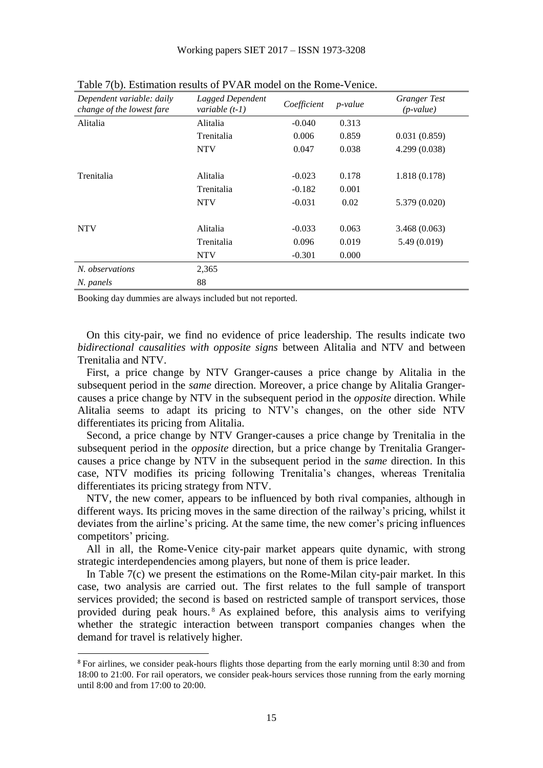| Dependent variable: daily<br>change of the lowest fare | Lagged Dependent<br>variable $(t-1)$ | Coefficient | $p$ -value | <b>Granger Test</b><br>$(p-value)$ |
|--------------------------------------------------------|--------------------------------------|-------------|------------|------------------------------------|
| Alitalia                                               | Alitalia                             | $-0.040$    | 0.313      |                                    |
|                                                        | Trenitalia                           | 0.006       | 0.859      | 0.031(0.859)                       |
|                                                        | <b>NTV</b>                           | 0.047       | 0.038      | 4.299(0.038)                       |
| Trenitalia                                             | Alitalia                             | $-0.023$    | 0.178      | 1.818 (0.178)                      |
|                                                        | Trenitalia                           | $-0.182$    | 0.001      |                                    |
|                                                        | <b>NTV</b>                           | $-0.031$    | 0.02       | 5.379 (0.020)                      |
| <b>NTV</b>                                             | Alitalia                             | $-0.033$    | 0.063      | 3.468(0.063)                       |
|                                                        | Trenitalia                           | 0.096       | 0.019      | 5.49 (0.019)                       |
|                                                        | <b>NTV</b>                           | $-0.301$    | 0.000      |                                    |
| N. observations                                        | 2,365                                |             |            |                                    |
| N. panels                                              | 88                                   |             |            |                                    |

Table 7(b). Estimation results of PVAR model on the Rome-Venice.

Booking day dummies are always included but not reported.

**.** 

On this city-pair, we find no evidence of price leadership. The results indicate two *bidirectional causalities with opposite signs* between Alitalia and NTV and between Trenitalia and NTV.

First, a price change by NTV Granger-causes a price change by Alitalia in the subsequent period in the *same* direction. Moreover, a price change by Alitalia Grangercauses a price change by NTV in the subsequent period in the *opposite* direction. While Alitalia seems to adapt its pricing to NTV's changes, on the other side NTV differentiates its pricing from Alitalia.

Second, a price change by NTV Granger-causes a price change by Trenitalia in the subsequent period in the *opposite* direction, but a price change by Trenitalia Grangercauses a price change by NTV in the subsequent period in the *same* direction. In this case, NTV modifies its pricing following Trenitalia's changes, whereas Trenitalia differentiates its pricing strategy from NTV.

NTV, the new comer, appears to be influenced by both rival companies, although in different ways. Its pricing moves in the same direction of the railway's pricing, whilst it deviates from the airline's pricing. At the same time, the new comer's pricing influences competitors' pricing.

All in all, the Rome-Venice city-pair market appears quite dynamic, with strong strategic interdependencies among players, but none of them is price leader.

In Table 7(c) we present the estimations on the Rome-Milan city-pair market. In this case, two analysis are carried out. The first relates to the full sample of transport services provided; the second is based on restricted sample of transport services, those provided during peak hours. <sup>8</sup> As explained before, this analysis aims to verifying whether the strategic interaction between transport companies changes when the demand for travel is relatively higher.

<sup>&</sup>lt;sup>8</sup> For airlines, we consider peak-hours flights those departing from the early morning until 8:30 and from 18:00 to 21:00. For rail operators, we consider peak-hours services those running from the early morning until 8:00 and from 17:00 to 20:00.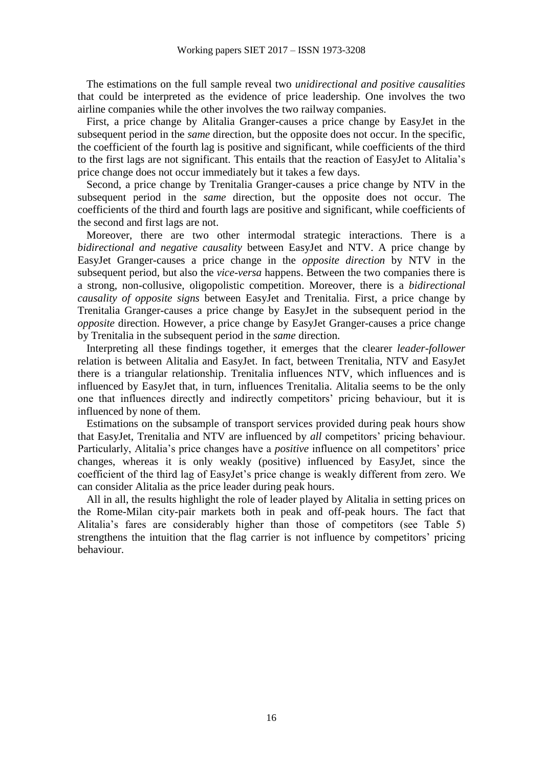The estimations on the full sample reveal two *unidirectional and positive causalities* that could be interpreted as the evidence of price leadership. One involves the two airline companies while the other involves the two railway companies.

First, a price change by Alitalia Granger-causes a price change by EasyJet in the subsequent period in the *same* direction, but the opposite does not occur. In the specific, the coefficient of the fourth lag is positive and significant, while coefficients of the third to the first lags are not significant. This entails that the reaction of EasyJet to Alitalia's price change does not occur immediately but it takes a few days.

Second, a price change by Trenitalia Granger-causes a price change by NTV in the subsequent period in the *same* direction, but the opposite does not occur. The coefficients of the third and fourth lags are positive and significant, while coefficients of the second and first lags are not.

Moreover, there are two other intermodal strategic interactions. There is a *bidirectional and negative causality* between EasyJet and NTV. A price change by EasyJet Granger-causes a price change in the *opposite direction* by NTV in the subsequent period, but also the *vice-versa* happens. Between the two companies there is a strong, non-collusive, oligopolistic competition. Moreover, there is a *bidirectional causality of opposite signs* between EasyJet and Trenitalia. First, a price change by Trenitalia Granger-causes a price change by EasyJet in the subsequent period in the *opposite* direction. However, a price change by EasyJet Granger-causes a price change by Trenitalia in the subsequent period in the *same* direction.

Interpreting all these findings together, it emerges that the clearer *leader-follower* relation is between Alitalia and EasyJet. In fact, between Trenitalia, NTV and EasyJet there is a triangular relationship. Trenitalia influences NTV, which influences and is influenced by EasyJet that, in turn, influences Trenitalia. Alitalia seems to be the only one that influences directly and indirectly competitors' pricing behaviour, but it is influenced by none of them.

Estimations on the subsample of transport services provided during peak hours show that EasyJet, Trenitalia and NTV are influenced by *all* competitors' pricing behaviour. Particularly, Alitalia's price changes have a *positive* influence on all competitors' price changes, whereas it is only weakly (positive) influenced by EasyJet, since the coefficient of the third lag of EasyJet's price change is weakly different from zero. We can consider Alitalia as the price leader during peak hours.

All in all, the results highlight the role of leader played by Alitalia in setting prices on the Rome-Milan city-pair markets both in peak and off-peak hours. The fact that Alitalia's fares are considerably higher than those of competitors (see Table 5) strengthens the intuition that the flag carrier is not influence by competitors' pricing behaviour.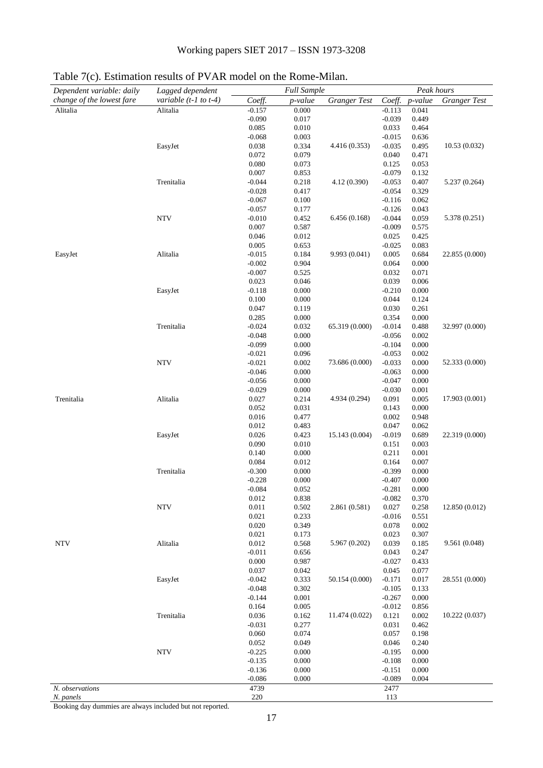| Dependent variable: daily | Lagged dependent          |                      | <b>Full Sample</b> |                     |                      | Peak hours     |                     |
|---------------------------|---------------------------|----------------------|--------------------|---------------------|----------------------|----------------|---------------------|
| change of the lowest fare | variable $(t-1$ to $t-4)$ | Coeff.               | p-value            | <b>Granger Test</b> | Coeff.               | p-value        | <b>Granger Test</b> |
| Alitalia                  | Alitalia                  | $-0.157$             | 0.000              |                     | $-0.113$             | 0.041          |                     |
|                           |                           | $-0.090$             | 0.017              |                     | $-0.039$             | 0.449          |                     |
|                           |                           | 0.085                | 0.010              |                     | 0.033                | 0.464          |                     |
|                           |                           | $-0.068$             | 0.003              |                     | $-0.015$             | 0.636          |                     |
|                           | EasyJet                   | 0.038                | 0.334              | 4.416 (0.353)       | $-0.035$             | 0.495          | 10.53 (0.032)       |
|                           |                           | 0.072                | 0.079              |                     | 0.040                | 0.471          |                     |
|                           |                           | 0.080                | 0.073              |                     | 0.125                | 0.053          |                     |
|                           |                           | 0.007                | 0.853              |                     | $-0.079$             | 0.132          |                     |
|                           | Trenitalia                | $-0.044$             | 0.218              | 4.12 (0.390)        | $-0.053$             | 0.407          | 5.237 (0.264)       |
|                           |                           | $-0.028$             | 0.417              |                     | $-0.054$             | 0.329          |                     |
|                           |                           | $-0.067$<br>$-0.057$ | 0.100<br>0.177     |                     | $-0.116$<br>$-0.126$ | 0.062<br>0.043 |                     |
|                           | <b>NTV</b>                | $-0.010$             | 0.452              | 6.456(0.168)        | $-0.044$             | 0.059          | 5.378 (0.251)       |
|                           |                           | 0.007                | 0.587              |                     | $-0.009$             | 0.575          |                     |
|                           |                           | 0.046                | 0.012              |                     | 0.025                | 0.425          |                     |
|                           |                           | 0.005                | 0.653              |                     | $-0.025$             | 0.083          |                     |
| EasyJet                   | Alitalia                  | $-0.015$             | 0.184              | 9.993 (0.041)       | 0.005                | 0.684          | 22.855 (0.000)      |
|                           |                           | $-0.002$             | 0.904              |                     | 0.064                | 0.000          |                     |
|                           |                           | $-0.007$             | 0.525              |                     | 0.032                | 0.071          |                     |
|                           |                           | 0.023                | 0.046              |                     | 0.039                | 0.006          |                     |
|                           | EasyJet                   | $-0.118$             | 0.000              |                     | $-0.210$             | 0.000          |                     |
|                           |                           | 0.100                | 0.000              |                     | 0.044                | 0.124          |                     |
|                           |                           | 0.047                | 0.119              |                     | 0.030                | 0.261          |                     |
|                           |                           | 0.285                | 0.000              |                     | 0.354                | 0.000          |                     |
|                           | Trenitalia                | $-0.024$             | 0.032              | 65.319 (0.000)      | $-0.014$             | 0.488          | 32.997 (0.000)      |
|                           |                           | $-0.048$             | 0.000              |                     | $-0.056$             | 0.002          |                     |
|                           |                           | $-0.099$             | 0.000              |                     | $-0.104$             | 0.000          |                     |
|                           |                           | $-0.021$             | 0.096              |                     | $-0.053$             | 0.002          |                     |
|                           | <b>NTV</b>                | $-0.021$             | 0.002              | 73.686 (0.000)      | $-0.033$             | 0.000          | 52.333 (0.000)      |
|                           |                           | $-0.046$             | 0.000              |                     | $-0.063$             | 0.000          |                     |
|                           |                           | $-0.056$             | 0.000              |                     | $-0.047$             | 0.000          |                     |
|                           |                           | $-0.029$             | 0.000              | 4.934 (0.294)       | $-0.030$             | 0.001          |                     |
| Trenitalia                | Alitalia                  | 0.027<br>0.052       | 0.214<br>0.031     |                     | 0.091<br>0.143       | 0.005<br>0.000 | 17.903 (0.001)      |
|                           |                           | 0.016                | 0.477              |                     | 0.002                | 0.948          |                     |
|                           |                           | 0.012                | 0.483              |                     | 0.047                | 0.062          |                     |
|                           | EasyJet                   | 0.026                | 0.423              | 15.143 (0.004)      | $-0.019$             | 0.689          | 22.319 (0.000)      |
|                           |                           | 0.090                | 0.010              |                     | 0.151                | 0.003          |                     |
|                           |                           | 0.140                | 0.000              |                     | 0.211                | 0.001          |                     |
|                           |                           | 0.084                | 0.012              |                     | 0.164                | 0.007          |                     |
|                           | Trenitalia                | $-0.300$             | 0.000              |                     | $-0.399$             | 0.000          |                     |
|                           |                           | $-0.228$             | 0.000              |                     | $-0.407$             | 0.000          |                     |
|                           |                           | $-0.084$             | 0.052              |                     | $-0.281$             | 0.000          |                     |
|                           |                           | 0.012                | 0.838              |                     | $-0.082$             | 0.370          |                     |
|                           | <b>NTV</b>                | 0.011                | 0.502              | 2.861 (0.581)       | 0.027                | 0.258          | 12.850 (0.012)      |
|                           |                           | 0.021                | 0.233              |                     | $-0.016$             | 0.551          |                     |
|                           |                           | 0.020                | 0.349              |                     | 0.078                | 0.002          |                     |
|                           |                           | 0.021                | 0.173              |                     | 0.023                | 0.307          |                     |
| <b>NTV</b>                | Alitalia                  | 0.012                | 0.568              | 5.967 (0.202)       | 0.039                | 0.185          | 9.561 (0.048)       |
|                           |                           | $-0.011$             | 0.656              |                     | 0.043                | 0.247          |                     |
|                           |                           | 0.000                | 0.987              |                     | $-0.027$             | 0.433          |                     |
|                           |                           | 0.037<br>$-0.042$    | 0.042              | 50.154 (0.000)      | 0.045<br>$-0.171$    | 0.077<br>0.017 | 28.551 (0.000)      |
|                           | EasyJet                   | $-0.048$             | 0.333<br>0.302     |                     | $-0.105$             | 0.133          |                     |
|                           |                           | $-0.144$             | 0.001              |                     | $-0.267$             | 0.000          |                     |
|                           |                           | 0.164                | 0.005              |                     | $-0.012$             | 0.856          |                     |
|                           | Trenitalia                | 0.036                | 0.162              | 11.474 (0.022)      | 0.121                | 0.002          | 10.222(0.037)       |
|                           |                           | $-0.031$             | 0.277              |                     | 0.031                | 0.462          |                     |
|                           |                           | 0.060                | 0.074              |                     | 0.057                | 0.198          |                     |
|                           |                           | 0.052                | 0.049              |                     | 0.046                | 0.240          |                     |
|                           | <b>NTV</b>                | $-0.225$             | 0.000              |                     | $-0.195$             | 0.000          |                     |
|                           |                           | $-0.135$             | 0.000              |                     | $-0.108$             | 0.000          |                     |
|                           |                           | $-0.136$             | 0.000              |                     | $-0.151$             | 0.000          |                     |
|                           |                           | $-0.086$             | 0.000              |                     | $-0.089$             | 0.004          |                     |
| N. observations           |                           | 4739                 |                    |                     | 2477                 |                |                     |
| N. panels                 |                           | 220                  |                    |                     | 113                  |                |                     |

## Table 7(c). Estimation results of PVAR model on the Rome-Milan.

Booking day dummies are always included but not reported.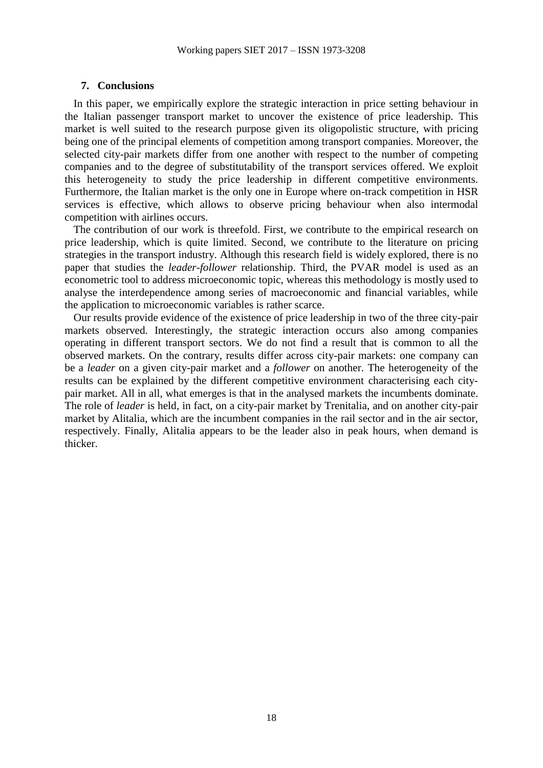#### **7. Conclusions**

In this paper, we empirically explore the strategic interaction in price setting behaviour in the Italian passenger transport market to uncover the existence of price leadership. This market is well suited to the research purpose given its oligopolistic structure, with pricing being one of the principal elements of competition among transport companies. Moreover, the selected city-pair markets differ from one another with respect to the number of competing companies and to the degree of substitutability of the transport services offered. We exploit this heterogeneity to study the price leadership in different competitive environments. Furthermore, the Italian market is the only one in Europe where on-track competition in HSR services is effective, which allows to observe pricing behaviour when also intermodal competition with airlines occurs.

The contribution of our work is threefold. First, we contribute to the empirical research on price leadership, which is quite limited. Second, we contribute to the literature on pricing strategies in the transport industry. Although this research field is widely explored, there is no paper that studies the *leader-follower* relationship. Third, the PVAR model is used as an econometric tool to address microeconomic topic, whereas this methodology is mostly used to analyse the interdependence among series of macroeconomic and financial variables, while the application to microeconomic variables is rather scarce.

Our results provide evidence of the existence of price leadership in two of the three city-pair markets observed. Interestingly, the strategic interaction occurs also among companies operating in different transport sectors. We do not find a result that is common to all the observed markets. On the contrary, results differ across city-pair markets: one company can be a *leader* on a given city-pair market and a *follower* on another. The heterogeneity of the results can be explained by the different competitive environment characterising each citypair market. All in all, what emerges is that in the analysed markets the incumbents dominate. The role of *leader* is held, in fact, on a city-pair market by Trenitalia, and on another city-pair market by Alitalia, which are the incumbent companies in the rail sector and in the air sector, respectively. Finally, Alitalia appears to be the leader also in peak hours, when demand is thicker.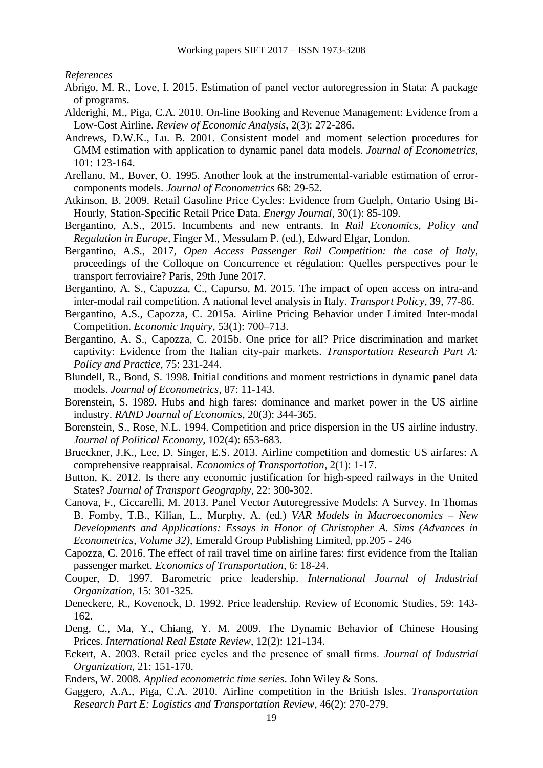*References*

- Abrigo, M. R., Love, I. 2015. Estimation of panel vector autoregression in Stata: A package of programs.
- Alderighi, M., Piga, C.A. 2010. On-line Booking and Revenue Management: Evidence from a Low-Cost Airline. *Review of Economic Analysis*, 2(3): 272-286.
- Andrews, D.W.K., Lu. B. 2001. Consistent model and moment selection procedures for GMM estimation with application to dynamic panel data models. *Journal of Econometrics*, 101: 123-164.
- Arellano, M., Bover, O. 1995. Another look at the instrumental-variable estimation of errorcomponents models. *Journal of Econometrics* 68: 29-52.
- Atkinson, B. 2009. Retail Gasoline Price Cycles: Evidence from Guelph, Ontario Using Bi-Hourly, Station-Specific Retail Price Data. *Energy Journal*, 30(1): 85-109.
- Bergantino, A.S., 2015. Incumbents and new entrants. In *Rail Economics, Policy and Regulation in Europe*, Finger M., Messulam P. (ed.), Edward Elgar, London.
- Bergantino, A.S., 2017, *Open Access Passenger Rail Competition: the case of Italy*, proceedings of the Colloque on Concurrence et régulation: Quelles perspectives pour le transport ferroviaire? Paris, 29th June 2017.
- Bergantino, A. S., Capozza, C., Capurso, M. 2015. The impact of open access on intra-and inter-modal rail competition. A national level analysis in Italy. *Transport Policy*, 39, 77-86.
- Bergantino, A.S., Capozza, C. 2015a. Airline Pricing Behavior under Limited Inter-modal Competition. *Economic Inquiry*, 53(1): 700–713.
- Bergantino, A. S., Capozza, C. 2015b. One price for all? Price discrimination and market captivity: Evidence from the Italian city-pair markets. *Transportation Research Part A: Policy and Practice*, 75: 231-244.
- Blundell, R., Bond, S. 1998. Initial conditions and moment restrictions in dynamic panel data models. *Journal of Econometrics*, 87: 11-143.
- Borenstein, S. 1989. Hubs and high fares: dominance and market power in the US airline industry. *RAND Journal of Economics*, 20(3): 344-365.
- Borenstein, S., Rose, N.L. 1994. Competition and price dispersion in the US airline industry. *Journal of Political Economy*, 102(4): 653-683.
- Brueckner, J.K., Lee, D. Singer, E.S. 2013. Airline competition and domestic US airfares: A comprehensive reappraisal. *Economics of Transportation*, 2(1): 1-17.
- Button, K. 2012. Is there any economic justification for high-speed railways in the United States? *Journal of Transport Geography*, 22: 300-302.
- Canova, F., Ciccarelli, M. 2013. Panel Vector Autoregressive Models: A Survey. In Thomas B. Fomby, T.B., Kilian, L., Murphy, A. (ed.) *VAR Models in Macroeconomics – New Developments and Applications: Essays in Honor of Christopher A. Sims (Advances in Econometrics, Volume 32)*, Emerald Group Publishing Limited, pp.205 - 246
- Capozza, C. 2016. The effect of rail travel time on airline fares: first evidence from the Italian passenger market. *Economics of Transportation*, 6: 18-24.
- Cooper, D. 1997. Barometric price leadership. *International Journal of Industrial Organization*, 15: 301-325.
- Deneckere, R., Kovenock, D. 1992. Price leadership. Review of Economic Studies, 59: 143- 162.
- Deng, C., Ma, Y., Chiang, Y. M. 2009. The Dynamic Behavior of Chinese Housing Prices. *International Real Estate Review*, 12(2): 121-134.
- Eckert, A. 2003. Retail price cycles and the presence of small firms. *Journal of Industrial Organization*, 21: 151-170.
- Enders, W. 2008. *Applied econometric time series*. John Wiley & Sons.
- Gaggero, A.A., Piga, C.A. 2010. Airline competition in the British Isles. *Transportation Research Part E: Logistics and Transportation Review*, 46(2): 270-279.